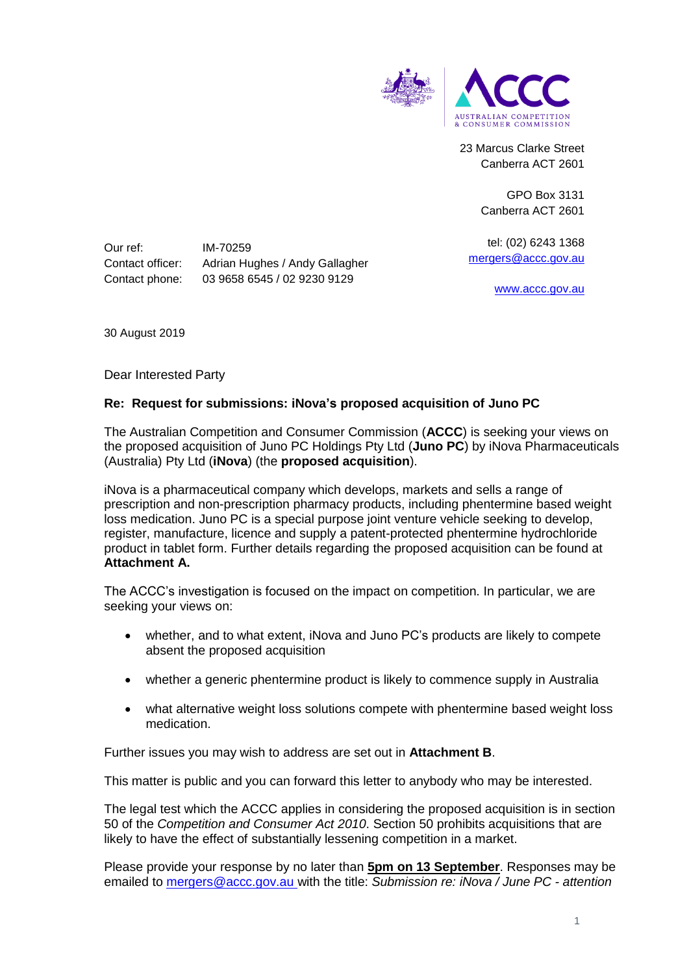

23 Marcus Clarke Street Canberra ACT 2601

> GPO Box 3131 Canberra ACT 2601

tel: (02) 6243 1368 [mergers@accc.gov.au](mailto:mergers@accc.gov.au)

[www.accc.gov.au](http://www.accc.gov.au/)

Our ref: IM-70259 Contact officer: Adrian Hughes / Andy Gallagher Contact phone: 03 9658 6545 / 02 9230 9129

30 August 2019

Dear Interested Party

### **Re: Request for submissions: iNova's proposed acquisition of Juno PC**

The Australian Competition and Consumer Commission (**ACCC**) is seeking your views on the proposed acquisition of Juno PC Holdings Pty Ltd (**Juno PC**) by iNova Pharmaceuticals (Australia) Pty Ltd (**iNova**) (the **proposed acquisition**).

iNova is a pharmaceutical company which develops, markets and sells a range of prescription and non-prescription pharmacy products, including phentermine based weight loss medication. Juno PC is a special purpose joint venture vehicle seeking to develop, register, manufacture, licence and supply a patent-protected phentermine hydrochloride product in tablet form. Further details regarding the proposed acquisition can be found at **Attachment A.**

The ACCC's investigation is focused on the impact on competition. In particular, we are seeking your views on:

- whether, and to what extent, iNova and Juno PC's products are likely to compete absent the proposed acquisition
- whether a generic phentermine product is likely to commence supply in Australia
- what alternative weight loss solutions compete with phentermine based weight loss medication.

Further issues you may wish to address are set out in **Attachment B**.

This matter is public and you can forward this letter to anybody who may be interested.

The legal test which the ACCC applies in considering the proposed acquisition is in section 50 of the *Competition and Consumer Act 2010*. Section 50 prohibits acquisitions that are likely to have the effect of substantially lessening competition in a market.

Please provide your response by no later than **5pm on 13 September**. Responses may be emailed to [mergers@accc.gov.au](mailto:mergers@accc.gov.au) with the title: *Submission re: iNova / June PC - attention*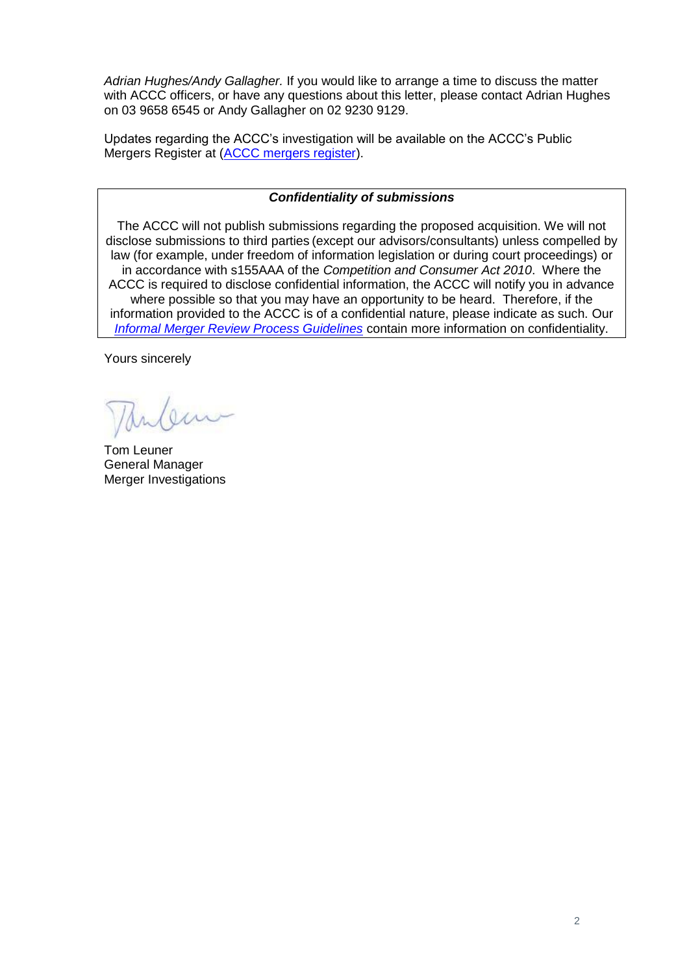*Adrian Hughes/Andy Gallagher.* If you would like to arrange a time to discuss the matter with ACCC officers, or have any questions about this letter, please contact Adrian Hughes on 03 9658 6545 or Andy Gallagher on 02 9230 9129.

Updates regarding the ACCC's investigation will be available on the ACCC's Public Mergers Register at [\(ACCC mergers register\)](http://www.accc.gov.au/mergersregister).

## *Confidentiality of submissions*

The ACCC will not publish submissions regarding the proposed acquisition. We will not disclose submissions to third parties (except our advisors/consultants) unless compelled by law (for example, under freedom of information legislation or during court proceedings) or in accordance with s155AAA of the *Competition and Consumer Act 2010*. Where the ACCC is required to disclose confidential information, the ACCC will notify you in advance where possible so that you may have an opportunity to be heard. Therefore, if the information provided to the ACCC is of a confidential nature, please indicate as such. Our *[Informal Merger Review Process Guidelines](https://www.accc.gov.au/publications/informal-merger-review-process-guidelines-2013)* contain more information on confidentiality.

Yours sincerely

Tom Leuner General Manager Merger Investigations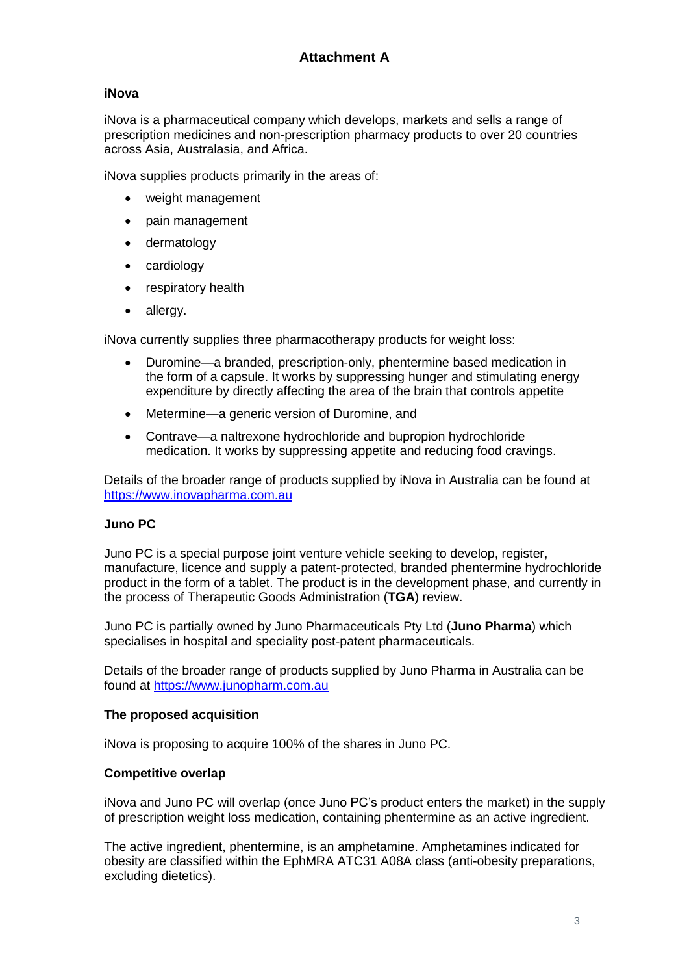# **iNova**

iNova is a pharmaceutical company which develops, markets and sells a range of prescription medicines and non-prescription pharmacy products to over 20 countries across Asia, Australasia, and Africa.

iNova supplies products primarily in the areas of:

- weight management
- pain management
- dermatology
- cardiology
- respiratory health
- allergy.

iNova currently supplies three pharmacotherapy products for weight loss:

- Duromine—a branded, prescription-only, phentermine based medication in the form of a capsule. It works by suppressing hunger and stimulating energy expenditure by directly affecting the area of the brain that controls appetite
- Metermine—a generic version of Duromine, and
- Contrave—a naltrexone hydrochloride and bupropion hydrochloride medication. It works by suppressing appetite and reducing food cravings.

Details of the broader range of products supplied by iNova in Australia can be found at [https://www.inovapharma.com.au](https://www.inovapharma.com.au/)

## **Juno PC**

Juno PC is a special purpose joint venture vehicle seeking to develop, register, manufacture, licence and supply a patent-protected, branded phentermine hydrochloride product in the form of a tablet. The product is in the development phase, and currently in the process of Therapeutic Goods Administration (**TGA**) review.

Juno PC is partially owned by Juno Pharmaceuticals Pty Ltd (**Juno Pharma**) which specialises in hospital and speciality post-patent pharmaceuticals.

Details of the broader range of products supplied by Juno Pharma in Australia can be found at [https://www.junopharm.com.au](https://www.junopharm.com.au/)

## **The proposed acquisition**

iNova is proposing to acquire 100% of the shares in Juno PC.

## **Competitive overlap**

iNova and Juno PC will overlap (once Juno PC's product enters the market) in the supply of prescription weight loss medication, containing phentermine as an active ingredient.

The active ingredient, phentermine, is an amphetamine. Amphetamines indicated for obesity are classified within the EphMRA ATC31 A08A class (anti-obesity preparations, excluding dietetics).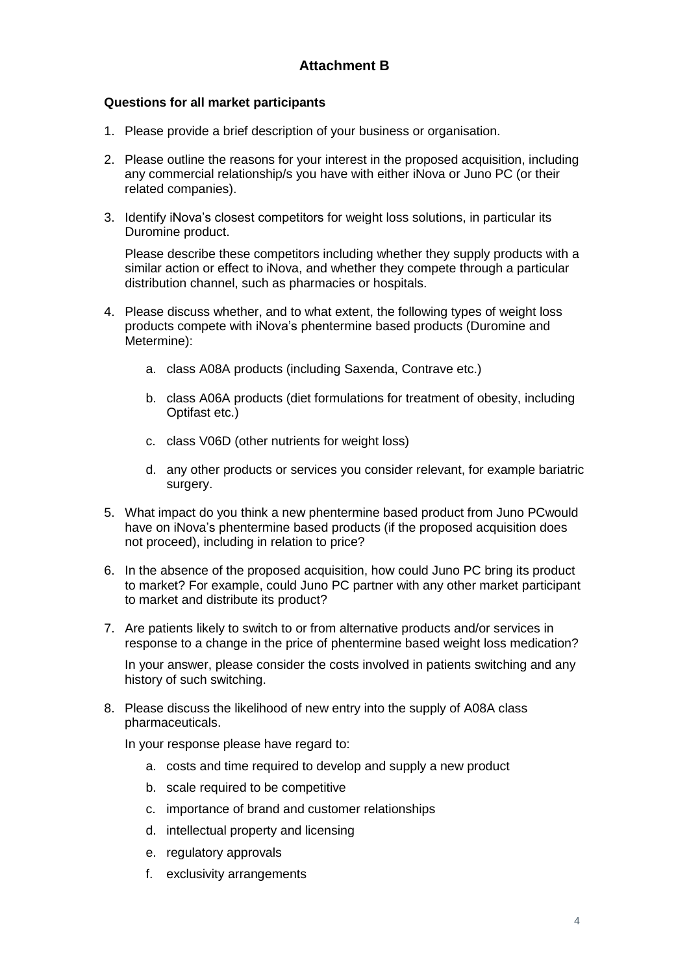# **Questions for all market participants**

- 1. Please provide a brief description of your business or organisation.
- 2. Please outline the reasons for your interest in the proposed acquisition, including any commercial relationship/s you have with either iNova or Juno PC (or their related companies).
- 3. Identify iNova's closest competitors for weight loss solutions, in particular its Duromine product.

Please describe these competitors including whether they supply products with a similar action or effect to iNova, and whether they compete through a particular distribution channel, such as pharmacies or hospitals.

- 4. Please discuss whether, and to what extent, the following types of weight loss products compete with iNova's phentermine based products (Duromine and Metermine):
	- a. class A08A products (including Saxenda, Contrave etc.)
	- b. class A06A products (diet formulations for treatment of obesity, including Optifast etc.)
	- c. class V06D (other nutrients for weight loss)
	- d. any other products or services you consider relevant, for example bariatric surgery.
- 5. What impact do you think a new phentermine based product from Juno PCwould have on iNova's phentermine based products (if the proposed acquisition does not proceed), including in relation to price?
- 6. In the absence of the proposed acquisition, how could Juno PC bring its product to market? For example, could Juno PC partner with any other market participant to market and distribute its product?
- 7. Are patients likely to switch to or from alternative products and/or services in response to a change in the price of phentermine based weight loss medication?

In your answer, please consider the costs involved in patients switching and any history of such switching.

8. Please discuss the likelihood of new entry into the supply of A08A class pharmaceuticals.

In your response please have regard to:

- a. costs and time required to develop and supply a new product
- b. scale required to be competitive
- c. importance of brand and customer relationships
- d. intellectual property and licensing
- e. regulatory approvals
- f. exclusivity arrangements